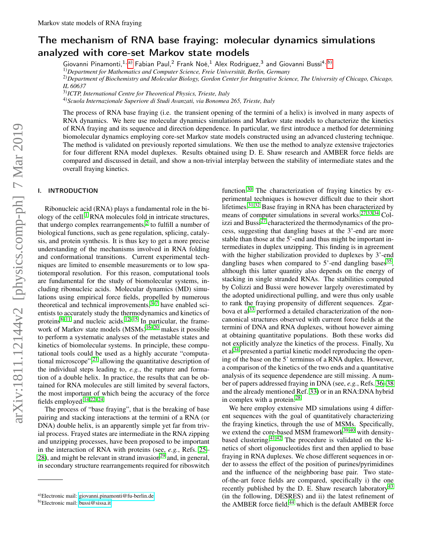# The mechanism of RNA base fraying: molecular dynamics simulations analyzed with core-set Markov state models

Giovanni Pinamonti, <sup>1, [a\)](#page-0-0)</sup> Fabian Paul, <sup>2</sup> Frank Noé, <sup>1</sup> Alex Rodriguez, <sup>3</sup> and Giovanni Bussi<sup>4, [b\)](#page-0-1)</sup>

1)*Department for Mathematics and Computer Science, Freie Universität, Berlin, Germany*

2)*Department of Biochemistry and Molecular Biology, Gordon Center for Integrative Science, The University of Chicago, Chicago, IL 60637*

3)*ICTP, International Centre for Theoretical Physics, Trieste, Italy*

4)*Scuola Internazionale Superiore di Studi Avanzati, via Bonomea 265, Trieste, Italy*

The process of RNA base fraying (i.e. the transient opening of the termini of a helix) is involved in many aspects of RNA dynamics. We here use molecular dynamics simulations and Markov state models to characterize the kinetics of RNA fraying and its sequence and direction dependence. In particular, we first introduce a method for determining biomolecular dynamics employing core-set Markov state models constructed using an advanced clustering technique. The method is validated on previously reported simulations. We then use the method to analyze extensive trajectories for four different RNA model duplexes. Results obtained using D. E. Shaw research and AMBER force fields are compared and discussed in detail, and show a non-trivial interplay between the stability of intermediate states and the overall fraying kinetics.

# I. INTRODUCTION

Ribonucleic acid (RNA) plays a fundamental role in the bi-ology of the cell.<sup>[1](#page-6-0)</sup> RNA molecules fold in intricate structures, that undergo complex rearrangements, $2$  to fulfill a number of biological functions, such as gene regulation, splicing, catalysis, and protein synthesis. It is thus key to get a more precise understanding of the mechanisms involved in RNA folding and conformational transitions. Current experimental techniques are limited to ensemble measurements or to low spatiotemporal resolution. For this reason, computational tools are fundamental for the study of biomolecular systems, including ribonucleic acids. Molecular dynamics (MD) simulations using empirical force fields, propelled by numerous theoretical and technical improvements,  $3\overline{-7}$  $3\overline{-7}$  have enabled scientists to accurately study the thermodynamics and kinetics of proteins $8-11$  $8-11$  and nucleic acids.<sup>[12–](#page-6-6)[15](#page-6-7)</sup> In particular, the frame-work of Markov state models (MSMs)<sup>[16](#page-6-8)[–20](#page-6-9)</sup> makes it possible to perform a systematic analyses of the metastable states and kinetics of biomolecular systems. In principle, these computational tools could be used as a highly accurate "computational microscope", $^{21}$  $^{21}$  $^{21}$  allowing the quantitative description of the individual steps leading to, *e.g.*, the rupture and formation of a double helix. In practice, the results that can be obtained for RNA molecules are still limited by several factors, the most important of which being the accuracy of the force fields employed.[14](#page-6-11)[,22](#page-6-12)[–24](#page-6-13)

The process of "base fraying", that is the breaking of base pairing and stacking interactions at the termini of a RNA (or DNA) double helix, is an apparently simple yet far from trivial process. Frayed states are intermediate in the RNA zipping and unzipping processes, have been proposed to be important in the interaction of RNA with proteins (see, *e.g.*, Refs. [25–](#page-6-14) [28\)](#page-6-15), and might be relevant in strand invasion<sup>[29](#page-6-16)</sup> and, in general, in secondary structure rearrangements required for riboswitch

function.<sup>[30](#page-6-17)</sup> The characterization of fraying kinetics by experimental techniques is however difficult due to their short lifetimes.[31,](#page-6-18)[32](#page-6-19) Base fraying in RNA has been characterized by means of computer simulations in several works.[27](#page-6-20)[,33](#page-6-21)[,34](#page-6-22) Colizzi and Bussi $^{27}$  $^{27}$  $^{27}$  characterized the thermodynamics of the process, suggesting that dangling bases at the 3'-end are more stable than those at the 5'-end and thus might be important intermediates in duplex unzipping. This finding is in agreement with the higher stabilization provided to duplexes by 3'-end dangling bases when compared to 5'-end dangling bases<sup>[35](#page-6-23)</sup>, although this latter quantity also depends on the energy of stacking in single stranded RNAs. The stabilities computed by Colizzi and Bussi were however largely overestimated by the adopted unidirectional pulling, and were thus only usable to rank the fraying propensity of different sequences. Zgar-bova et al<sup>[33](#page-6-21)</sup> performed a detailed characterization of the noncanonical structures observed with current force fields at the termini of DNA and RNA duplexes, without however aiming at obtaining quantitative populations. Both these works did not explicitly analyze the kinetics of the process. Finally, Xu et al<sup>[34](#page-6-22)</sup> presented a partial kinetic model reproducing the opening of the base on the 5' terminus of a RNA duplex. However, a comparison of the kinetics of the two ends and a quantitative analysis of its sequence dependence are still missing. A number of papers addressed fraying in DNA (see, *e.g.*, Refs. [36](#page-6-24)[–38](#page-6-25) and the already mentioned Ref. [33\)](#page-6-21) or in an RNA:DNA hybrid in complex with a protein.[28](#page-6-15)

We here employ extensive MD simulations using 4 different sequences with the goal of quantitatively characterizing the fraying kinetics, through the use of MSMs. Specifically, we extend the core-based MSM framework<sup>[39](#page-6-26)[,40](#page-6-27)</sup> with densitybased clustering. $41,42$  $41,42$  The procedure is validated on the kinetics of short oligonucleotides first and then applied to base fraying in RNA duplexes. We chose different sequences in order to assess the effect of the position of purines/pyrimidines and the influence of the neighboring base pair. Two stateof-the-art force fields are compared, specifically i) the one recently published by the D. E. Shaw research laboratory<sup>[43](#page-6-30)</sup> (in the following, DESRES) and ii) the latest refinement of the AMBER force field,<sup>[44](#page-7-0)</sup> which is the default AMBER force

<span id="page-0-0"></span>a)Electronic mail: [giovanni.pinamonti@fu-berlin.de](mailto:giovanni.pinamonti@fu-berlin.de)

<span id="page-0-1"></span>b)Electronic mail: [bussi@sissa.it](mailto:bussi@sissa.it)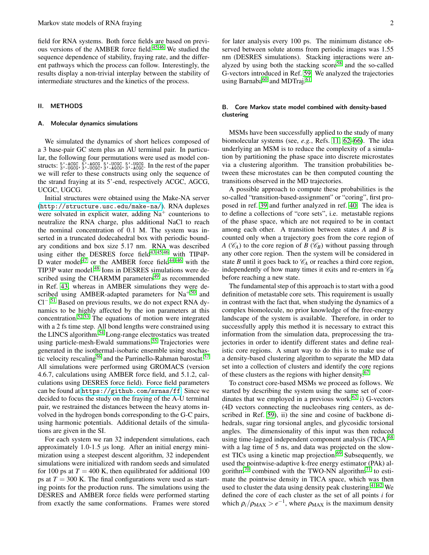field for RNA systems. Both force fields are based on previ-ous versions of the AMBER force field.<sup>[45](#page-7-1)[,46](#page-7-2)</sup> We studied the sequence dependence of stability, fraying rate, and the different pathways which the process can follow. Interestingly, the results display a non-trivial interplay between the stability of intermediate structures and the kinetics of the process.

#### II. METHODS

#### Molecular dynamics simulations

We simulated the dynamics of short helices composed of a 3 base-pair GC stem plus an AU terminal pair. In particular, the following four permutations were used as model constructs:  $\frac{5}{3}$ , -LGGC  $\frac{5}{3}$ , -LGGC  $\frac{5}{3}$ , -UCGC  $\frac{5}{3}$ , -LGGC  $\frac{5}{3}$ , -LGGC. In the rest of the paper we will refer to these constructs using only the sequence of the strand fraying at its 5'-end, respectively ACGC, AGCG, UCGC, UGCG.

Initial structures were obtained using the Make-NA server (<http://structure.usc.edu/make-na/>). RNA duplexes were solvated in explicit water, adding  $Na<sup>+</sup>$  counterions to neutralize the RNA charge, plus additional NaCl to reach the nominal concentration of 0.1 M. The system was inserted in a truncated dodecahedral box with periodic boundary conditions and box size 5.17 nm. RNA was described using either the DESRES force field $43,45,46$  $43,45,46$  $43,45,46$  with TIP4P-D water model<sup>[47](#page-7-3)</sup> or the AMBER force field<sup>[44](#page-7-0)-46</sup> with the TIP3P water model.[48](#page-7-4) Ions in DESRES simulations were described using the CHARMM parameters $49$  as recommended in Ref. [43,](#page-6-30) whereas in AMBER simulations they were described using AMBER-adapted parameters for  $Na<sup>+50</sup>$  $Na<sup>+50</sup>$  $Na<sup>+50</sup>$  and Cl−. [51](#page-7-7) Based on previous results, we do not expect RNA dynamics to be highly affected by the ion parameters at this concentration.<sup>[52](#page-7-8),  $\overline{53}$ </sup> The equations of motion were integrated with a 2 fs time step. All bond lengths were constrained using the LINCS algorithm.<sup>[54](#page-7-10)</sup> Long-range electrostatics was treated using particle-mesh-Ewald summations.<sup>[55](#page-7-11)</sup> Trajectories were generated in the isothermal-isobaric ensemble using stochas-tic velocity rescaling<sup>[56](#page-7-12)</sup> and the Parrinello-Rahman barostat.<sup>[57](#page-7-13)</sup> All simulations were performed using GROMACS (version 4.6.7, calculations using AMBER force field, and 5.1.2, calculations using DESRES force field). Force field parameters can be found at <https://github.com/srnas/ff>. Since we decided to focus the study on the fraying of the A-U terminal pair, we restrained the distances between the heavy atoms involved in the hydrogen bonds corresponding to the G-C pairs, using harmonic potentials. Additional details of the simulations are given in the SI.

For each system we ran 32 independent simulations, each approximately 1.0-1.5 μs long. After an initial energy minimization using a steepest descent algorithm, 32 independent simulations were initialized with random seeds and simulated for 100 ps at  $T = 400$  K, then equilibrated for additional 100 ps at  $T = 300$  K. The final configurations were used as starting points for the production runs. The simulations using the DESRES and AMBER force fields were performed starting from exactly the same conformations. Frames were stored

for later analysis every 100 ps. The minimum distance observed between solute atoms from periodic images was 1.55 nm (DESRES simulations). Stacking interactions were analyzed by using both the stacking  $score<sup>58</sup>$  $score<sup>58</sup>$  $score<sup>58</sup>$  and the so-called G-vectors introduced in Ref. [59.](#page-7-15) We analyzed the trajectories using Barnaba<sup>[60](#page-7-16)</sup> and MDTraj.<sup>[61](#page-7-17)</sup>

## <span id="page-1-0"></span>B. Core Markov state model combined with density-based clustering

MSMs have been successfully applied to the study of many biomolecular systems (see, *e.g.*, Refs. [11,](#page-6-5) [62](#page-7-18)[–66\)](#page-7-19). The idea underlying an MSM is to reduce the complexity of a simulation by partitioning the phase space into discrete microstates via a clustering algorithm. The transition probabilities between these microstates can be then computed counting the transitions observed in the MD trajectories.

A possible approach to compute these probabilities is the so-called "transition-based-assignment" or "coring", first proposed in ref. [39](#page-6-26) and further analyzed in ref. [40.](#page-6-27) The idea is to define a collections of "core sets", i.e. metastable regions of the phase space, which are not required to be in contact among each other. A transition between states *A* and *B* is counted only when a trajectory goes from the core region of *A* ( $\mathcal{C}_A$ ) to the core region of *B* ( $\mathcal{C}_B$ ) without passing through any other core region. Then the system will be considered in state *B* until it goes back to  $\mathcal{C}_A$  or reaches a third core region, independently of how many times it exits and re-enters in  $\mathcal{C}_B$ before reaching a new state.

The fundamental step of this approach is to start with a good definition of metastable core sets. This requirement is usually in contrast with the fact that, when studying the dynamics of a complex biomolecule, no prior knowledge of the free-energy landscape of the system is available. Therefore, in order to successfully apply this method it is necessary to extract this information from the simulation data, preprocessing the trajectories in order to identify different states and define realistic core regions. A smart way to do this is to make use of a density-based clustering algorithm to separate the MD data set into a collection of clusters and identify the core regions of these clusters as the regions with higher density.<sup>[67](#page-7-20)</sup>

To construct core-based MSMs we proceed as follows. We started by describing the system using the same set of coordinates that we employed in a previous work: $62$  i) G-vectors (4D vectors connecting the nucleobases ring centers, as described in Ref. [59\)](#page-7-15), ii) the sine and cosine of backbone dihedrals, sugar ring torsional angles, and glycosidic torsional angles. The dimensionality of this input was then reduced using time-lagged independent component analysis  $(TICA)^{68}$  $(TICA)^{68}$  $(TICA)^{68}$ with a lag time of 5 ns, and data was projected on the slow-est TICs using a kinetic map projection.<sup>[69](#page-7-22)</sup> Subsequently, we used the pointwise-adaptive k-free energy estimator (PAk) al-gorithm<sup>[70](#page-7-23)</sup> combined with the TWO-NN algorithm<sup>[71](#page-7-24)</sup> to estimate the pointwise density in TICA space, which was then used to cluster the data using density peak clustering. $41,42$  $41,42$  We defined the core of each cluster as the set of all points *i* for which  $\rho_i/\rho_{\text{MAX}} > e^{-1}$ , where  $\rho_{\text{MAX}}$  is the maximum density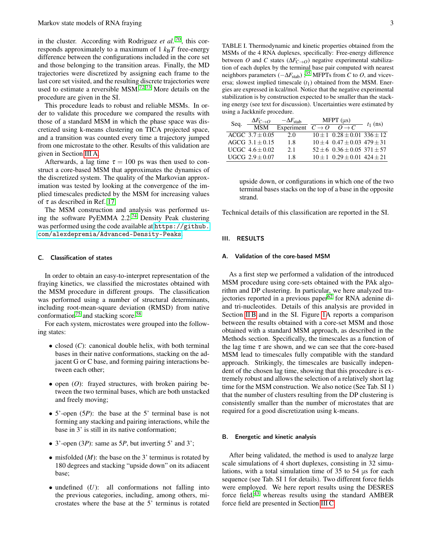in the cluster. According with Rodriguez *et al.* <sup>[70](#page-7-23)</sup>, this corresponds approximately to a maximum of  $1 \, k_B T$  free-energy difference between the configurations included in the core set and those belonging to the transition areas. Finally, the MD trajectories were discretized by assigning each frame to the last core set visited, and the resulting discrete trajectories were used to estimate a reversible MSM.<sup>[72](#page-7-25)[,73](#page-7-26)</sup> More details on the procedure are given in the SI.

This procedure leads to robust and reliable MSMs. In order to validate this procedure we compared the results with those of a standard MSM in which the phase space was discretized using k-means clustering on TICA projected space, and a transition was counted every time a trajectory jumped from one microstate to the other. Results of this validation are given in Section [III A.](#page-2-0)

Afterwards, a lag time  $\tau = 100$  ps was then used to construct a core-based MSM that approximates the dynamics of the discretized system. The quality of the Markovian approximation was tested by looking at the convergence of the implied timescales predicted by the MSM for increasing values of  $\tau$  as described in Ref. [17.](#page-6-31)

The MSM construction and analysis was performed using the software PyEMMA 2.2.[74](#page-7-27) Density Peak clustering was performed using the code available at [https://github.](https://github.com/alexdepremia/Advanced-Density-Peaks) [com/alexdepremia/Advanced-Density-Peaks](https://github.com/alexdepremia/Advanced-Density-Peaks).

## C. Classification of states

In order to obtain an easy-to-interpret representation of the fraying kinetics, we classified the microstates obtained with the MSM procedure in different groups. The classification was performed using a number of structural determinants, including root-mean-square deviation (RMSD) from native conformation<sup>[75](#page-7-28)</sup> and stacking score.<sup>[58](#page-7-14)</sup>

For each system, microstates were grouped into the following states:

- closed (*C*): canonical double helix, with both terminal bases in their native conformations, stacking on the adjacent G or C base, and forming pairing interactions between each other;
- open (*O*): frayed structures, with broken pairing between the two terminal bases, which are both unstacked and freely moving;
- 5'-open (5*P*): the base at the 5' terminal base is not forming any stacking and pairing interactions, while the base in 3' is still in its native conformation;
- 3'-open (3*P*): same as 5*P*, but inverting 5' and 3';
- misfolded (*M*): the base on the 3' terminus is rotated by 180 degrees and stacking "upside down" on its adiacent base;
- undefined (*U*): all conformations not falling into the previous categories, including, among others, microstates where the base at the 5' terminus is rotated

<span id="page-2-1"></span>TABLE I. Thermodynamic and kinetic properties obtained from the MSMs of the 4 RNA duplexes, specifically: Free-energy difference between *O* and *C* states ( $\Delta F_{C\rightarrow O}$ ) negative experimental stabilization of each duplex by the terminal base pair computed with nearest neighbors parameters (−∆*F*<sub>stab</sub>);<sup>[35](#page-6-23)</sup> MFPTs from *C* to *O*, and viceversa; slowest implied timescale  $(t_1)$  obtained from the MSM. Energies are expressed in kcal/mol. Notice that the negative experimental stabilization is by construction expected to be smaller than the stacking energy (see text for discussion). Uncertainties were estimated by using a Jackknife procedure.

| Seq. | $\frac{\Delta F_{C\rightarrow O}}{\rm MSM}$ | $-\Delta F_{\rm stab}$                                               | MFPT $(\mu s)$ |                                         | $t_1$ (ns) |
|------|---------------------------------------------|----------------------------------------------------------------------|----------------|-----------------------------------------|------------|
|      |                                             | Experiment $\overline{C} \rightarrow O$ $\overline{O} \rightarrow C$ |                |                                         |            |
|      | $ACGC$ 3.7 $\pm$ 0.05                       | 2.0                                                                  |                | $10 \pm 1$ $0.28 \pm 0.01$ $336 \pm 12$ |            |
|      | $AGCG 3.1 + 0.15$                           | 1.8                                                                  |                | $10 \pm 4$ 0.47 $\pm$ 0.03 479 $\pm$ 31 |            |
|      | UCGC $4.6 + 0.02$                           | 2.1                                                                  |                | $52 \pm 6$ $0.36 \pm 0.05$ $371 \pm 57$ |            |
|      | UGCG $2.9 + 0.07$                           | 1.8                                                                  |                | $10 \pm 1$ $0.29 \pm 0.01$ $424 \pm 21$ |            |

upside down, or configurations in which one of the two terminal bases stacks on the top of a base in the opposite strand.

Technical details of this classification are reported in the SI.

## III. RESULTS

#### <span id="page-2-0"></span>A. Validation of the core-based MSM

As a first step we performed a validation of the introduced MSM procedure using core-sets obtained with the PAk algorithm and DP clustering. In particular, we here analyzed tra-jectories reported in a previous paper<sup>[62](#page-7-18)</sup> for RNA adenine diand tri-nucleotides. Details of this analysis are provided in Section [II B](#page-1-0) and in the SI. Figure [1A](#page-3-0) reports a comparison between the results obtained with a core-set MSM and those obtained with a standard MSM approach, as described in the Methods section. Specifically, the timescales as a function of the lag time  $\tau$  are shown, and we can see that the core-based MSM lead to timescales fully compatible with the standard approach. Strikingly, the timescales are basically independent of the chosen lag time, showing that this procedure is extremely robust and allows the selection of a relatively short lag time for the MSM construction. We also notice (See Tab. SI 1) that the number of clusters resulting from the DP clustering is consistently smaller than the number of microstates that are required for a good discretization using k-means.

#### B. Energetic and kinetic analysis

After being validated, the method is used to analyze large scale simulations of 4 short duplexes, consisting in 32 simulations, with a total simulation time of 35 to 54 μs for each sequence (see Tab. SI 1 for details). Two different force fields were employed. We here report results using the DESRES force field, $43$  whereas results using the standard AMBER force field are presented in Section [III C.](#page-4-0)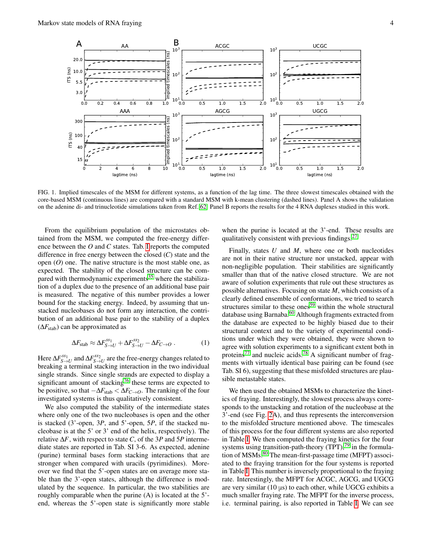

<span id="page-3-0"></span>FIG. 1. Implied timescales of the MSM for different systems, as a function of the lag time. The three slowest timescales obtained with the core-based MSM (continuous lines) are compared with a standard MSM with k-mean clustering (dashed lines). Panel A shows the validation on the adenine di- and trinucleotide simulations taken from Ref. [62.](#page-7-18) Panel B reports the results for the 4 RNA duplexes studied in this work.

From the equilibrium population of the microstates obtained from the MSM, we computed the free-energy difference between the *O* and *C* states. Tab. [I](#page-2-1) reports the computed difference in free energy between the closed (*C*) state and the open (*O*) one. The native structure is the most stable one, as expected. The stability of the closed structure can be com-pared with thermodynamic experiments<sup>[35](#page-6-23)</sup> where the stabilization of a duplex due to the presence of an additional base pair is measured. The negative of this number provides a lower bound for the stacking energy. Indeed, by assuming that unstacked nucleobases do not form any interaction, the contribution of an additional base pair to the stability of a duplex  $(\Delta F_{\text{stab}})$  can be approximated as

$$
\Delta F_{\text{stab}} \approx \Delta F_{S \to U}^{ss_1} + \Delta F_{S \to U}^{ss_2} - \Delta F_{C \to O} \ . \tag{1}
$$

Here  $\Delta F_{S \to U}^{ss_1}$  and  $\Delta F_{S \to U}^{ss_2}$  are the free-energy changes related to breaking a terminal stacking interaction in the two individual single strands. Since single strands are expected to display a significant amount of stacking<sup>[76](#page-7-29)</sup> these terms are expected to be positive, so that −∆*F*stab < ∆*FC*→*O*. The ranking of the four investigated systems is thus qualitatively consistent.

We also computed the stability of the intermediate states where only one of the two nucleobases is open and the other is stacked (3'-open, 3*P*, and 5'-open, 5*P*, if the stacked nucleobase is at the 5' or 3' end of the helix, respectively). The relative ∆*F*, with respect to state *C*, of the 3*P* and 5*P* intermediate states are reported in Tab. SI 3-6. As expected, adenine (purine) terminal bases form stacking interactions that are stronger when compared with uracils (pyrimidines). Moreover we find that the 5'-open states are on average more stable than the 3'-open states, although the difference is modulated by the sequence. In particular, the two stabilities are roughly comparable when the purine (A) is located at the 5' end, whereas the 5'-open state is significantly more stable when the purine is located at the 3'-end. These results are qualitatively consistent with previous findings. $27$ 

Finally, states *U* and *M*, where one or both nucleotides are not in their native structure nor unstacked, appear with non-negligible population. Their stabilities are significantly smaller than that of the native closed structure. We are not aware of solution experiments that rule out these structures as possible alternatives. Focusing on state *M*, which consists of a clearly defined ensemble of conformations, we tried to search structures similar to these ones<sup>[59](#page-7-15)</sup> within the whole structural database using Barnaba.<sup>[60](#page-7-16)</sup> Although fragments extracted from the database are expected to be highly biased due to their structural context and to the variety of experimental conditions under which they were obtained, they were shown to agree with solution experiments to a significant extent both in proteins<sup>[77](#page-7-30)</sup> and nucleic acids.<sup>[78](#page-7-31)</sup> A significant number of fragments with virtually identical base pairing can be found (see Tab. SI 6), suggesting that these misfolded structures are plausible metastable states.

We then used the obtained MSMs to characterize the kinetics of fraying. Interestingly, the slowest process always corresponds to the unstacking and rotation of the nucleobase at the 3'-end (see Fig. [2A](#page-4-1)), and thus represents the interconversion to the misfolded structure mentioned above. The timescales of this process for the four different systems are also reported in Table [I.](#page-2-1) We then computed the fraying kinetics for the four systems using transition-path-theory  $(TPT)$ ,<sup>[79](#page-7-32)</sup> in the formula-tion of MSMs.<sup>[80](#page-7-33)</sup> The mean-first-passage time (MFPT) associated to the fraying transition for the four systems is reported in Table [I.](#page-2-1) This number is inversely proportional to the fraying rate. Interestingly, the MFPT for ACGC, AGCG, and UGCG are very similar  $(10 \mu s)$  to each other, while UGCG exhibits a much smaller fraying rate. The MFPT for the inverse process, i.e. terminal pairing, is also reported in Table [I.](#page-2-1) We can see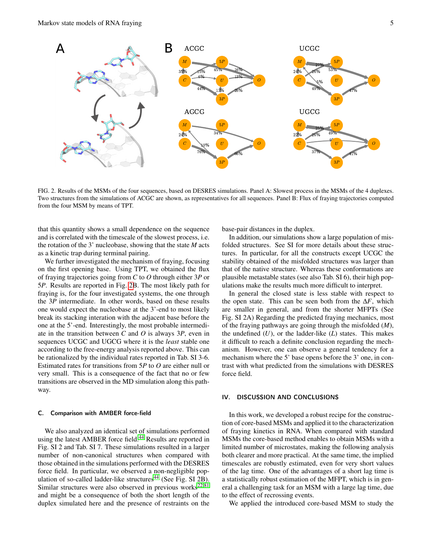

<span id="page-4-1"></span>FIG. 2. Results of the MSMs of the four sequences, based on DESRES simulations. Panel A: Slowest process in the MSMs of the 4 duplexes. Two structures from the simulations of ACGC are shown, as representatives for all sequences. Panel B: Flux of fraying trajectories computed from the four MSM by means of TPT.

that this quantity shows a small dependence on the sequence and is correlated with the timescale of the slowest process, i.e. the rotation of the 3' nucleobase, showing that the state *M* acts as a kinetic trap during terminal pairing.

We further investigated the mechanism of fraying, focusing on the first opening base. Using TPT, we obtained the flux of fraying trajectories going from *C* to *O* through either 3*P* or 5*P*. Results are reported in Fig. [2B](#page-4-1). The most likely path for fraying is, for the four investigated systems, the one through the 3*P* intermediate. In other words, based on these results one would expect the nucleobase at the 3'-end to most likely break its stacking interation with the adjacent base before the one at the 5'-end. Interestingly, the most probable intermediate in the transition between *C* and *O* is always 3*P*, even in sequences UCGC and UGCG where it is the *least* stable one according to the free-energy analysis reported above. This can be rationalized by the individual rates reported in Tab. SI 3-6. Estimated rates for transitions from 5*P* to *O* are either null or very small. This is a consequence of the fact that no or few transitions are observed in the MD simulation along this pathway.

## <span id="page-4-0"></span>C. Comparison with AMBER force-field

We also analyzed an identical set of simulations performed using the latest AMBER force field.<sup>[44](#page-7-0)</sup> Results are reported in Fig. SI 2 and Tab. SI 7. These simulations resulted in a larger number of non-canonical structures when compared with those obtained in the simulations performed with the DESRES force field. In particular, we observed a non-negligible pop-ulation of so-called ladder-like structures<sup>[44](#page-7-0)</sup> (See Fig. SI  $2B$ ). Similar structures were also observed in previous works $22,81$  $22,81$ and might be a consequence of both the short length of the duplex simulated here and the presence of restraints on the

base-pair distances in the duplex.

In addition, our simulations show a large population of misfolded structures. See SI for more details about these structures. In particular, for all the constructs except UCGC the stability obtained of the misfolded structures was larger than that of the native structure. Whereas these conformations are plausible metastable states (see also Tab. SI 6), their high populations make the results much more difficult to interpret.

In general the closed state is less stable with respect to the open state. This can be seen both from the ∆*F*, which are smaller in general, and from the shorter MFPTs (See Fig. SI 2A) Regarding the predicted fraying mechanics, most of the fraying pathways are going through the misfolded (*M*), the undefined (*U*), or the ladder-like (*L*) states. This makes it difficult to reach a definite conclusion regarding the mechanism. However, one can observe a general tendency for a mechanism where the 5' base opens before the 3' one, in contrast with what predicted from the simulations with DESRES force field.

## IV. DISCUSSION AND CONCLUSIONS

In this work, we developed a robust recipe for the construction of core-based MSMs and applied it to the characterization of fraying kinetics in RNA. When compared with standard MSMs the core-based method enables to obtain MSMs with a limited number of microstates, making the following analysis both clearer and more practical. At the same time, the implied timescales are robustly estimated, even for very short values of the lag time. One of the advantages of a short lag time is a statistically robust estimation of the MFPT, which is in general a challenging task for an MSM with a large lag time, due to the effect of recrossing events.

We applied the introduced core-based MSM to study the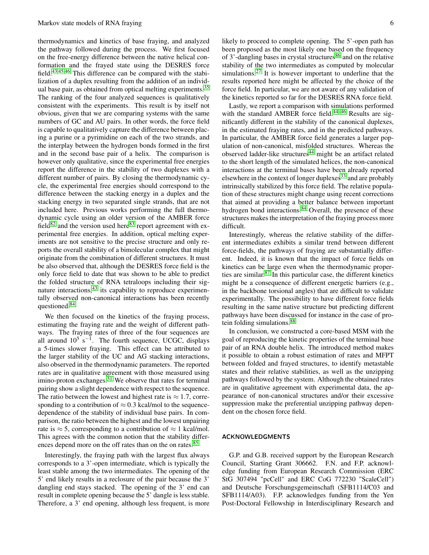thermodynamics and kinetics of base fraying, and analyzed the pathway followed during the process. We first focused on the free-energy difference between the native helical conformation and the frayed state using the DESRES force field.[43,](#page-6-30)[45,](#page-7-1)[46](#page-7-2) This difference can be compared with the stabilization of a duplex resulting from the addition of an individ-ual base pair, as obtained from optical melting experiments.<sup>[35](#page-6-23)</sup> The ranking of the four analyzed sequences is qualitatively consistent with the experiments. This result is by itself not obvious, given that we are comparing systems with the same numbers of GC and AU pairs. In other words, the force field is capable to qualitatively capture the difference between placing a purine or a pyrimidine on each of the two strands, and the interplay between the hydrogen bonds formed in the first and in the second base pair of a helix. The comparison is however only qualitative, since the experimental free energies report the difference in the stability of two duplexes with a different number of pairs. By closing the thermodynamic cycle, the experimental free energies should correspond to the difference between the stacking energy in a duplex and the stacking energy in two separated single strands, that are not included here. Previous works performing the full thermodynamic cycle using an older version of the AMBER force  $field^{82}$  $field^{82}$  $field^{82}$  and the version used here<sup>[83](#page-7-36)</sup> report agreement with experimental free energies. In addition, optical melting experiments are not sensitive to the precise structure and only reports the overall stability of a bimolecular complex that might originate from the combination of different structures. It must be also observed that, although the DESRES force field is the only force field to date that was shown to be able to predict the folded structure of RNA tetraloops including their sig-nature interactions,<sup>[43](#page-6-30)</sup> its capability to reproduce experimentally observed non-canonical interactions has been recently questioned.[84](#page-7-37)

We then focused on the kinetics of the fraying process, estimating the fraying rate and the weight of different pathways. The fraying rates of three of the four sequences are all around  $10^5$  s<sup>-1</sup>. The fourth sequence, UCGC, displays a 5-times slower fraying. This effect can be attributed to the larger stability of the UC and AG stacking interactions, also observed in the thermodynamic parameters. The reported rates are in qualitative agreement with those measured using imino-proton exchanges.<sup>[31](#page-6-18)</sup> We observe that rates for terminal pairing show a slight dependence with respect to the sequence. The ratio between the lowest and highest rate is  $\approx 1.7$ , corresponding to a contribution of  $\approx 0.3$  kcal/mol to the sequencedependence of the stability of individual base pairs. In comparison, the ratio between the highest and the lowest unpairing rate is  $\approx$  5, corresponding to a contribution of  $\approx$  1 kcal/mol. This agrees with the common notion that the stability differ-ences depend more on the off rates than on the on rates.<sup>[85](#page-7-38)</sup>

Interestingly, the fraying path with the largest flux always corresponds to a 3'-open intermediate, which is typically the least stable among the two intermediates. The opening of the 5' end likely results in a reclosure of the pair because the 3' dangling end stays stacked. The opening of the 3' end can result in complete opening because the 5' dangle is less stable. Therefore, a 3' end opening, although less frequent, is more likely to proceed to complete opening. The 5'-open path has been proposed as the most likely one based on the frequency of  $3'$ -dangling bases in crystal structures<sup>[86](#page-7-39)</sup> and on the relative stability of the two intermediates as computed by molecular simulations.[27](#page-6-20) It is however important to underline that the results reported here might be affected by the choice of the force field. In particular, we are not aware of any validation of the kinetics reported so far for the DESRES RNA force field.

Lastly, we report a comparison with simulations performed with the standard AMBER force field.<sup>44-[46](#page-7-2)</sup> Results are significantly different in the stability of the canonical duplexes, in the estimated fraying rates, and in the predicted pathways. In particular, the AMBER force field generates a larger population of non-canonical, misfolded structures. Whereas the observed ladder-like structures<sup>[44](#page-7-0)</sup> might be an artifact related to the short length of the simulated helices, the non-canonical interactions at the terminal bases have been already reported elsewhere in the context of longer duplexes<sup>[33](#page-6-21)</sup> and are probably intrinsically stabilized by this force field. The relative population of these structures might change using recent corrections that aimed at providing a better balance between important hydrogen bond interactions.<sup>[84](#page-7-37)</sup> Overall, the presence of these structures makes the interpretation of the fraying process more difficult.

Interestingly, whereas the relative stability of the different intermediates exhibits a similar trend between different force-fields, the pathways of fraying are substantially different. Indeed, it is known that the impact of force fields on kinetics can be large even when the thermodynamic properties are similar.[87](#page-7-40) In this particular case, the different kinetics might be a consequence of different energetic barriers (e.g., in the backbone torsional angles) that are difficult to validate experimentally. The possibility to have different force fields resulting in the same native structure but predicting different pathways have been discussed for instance in the case of pro-tein folding simulations.<sup>[88](#page-7-41)</sup>

In conclusion, we constructed a core-based MSM with the goal of reproducing the kinetic properties of the terminal base pair of an RNA double helix. The introduced method makes it possible to obtain a robust estimation of rates and MFPT between folded and frayed structures, to identify metastable states and their relative stabilities, as well as the unzipping pathways followed by the system. Although the obtained rates are in qualitative agreement with experimental data, the appearance of non-canonical structures and/or their excessive suppression make the preferential unzipping pathway dependent on the chosen force field.

### ACKNOWLEDGMENTS

G.P. and G.B. received support by the European Research Council, Starting Grant 306662. F.N. and F.P. acknowledge funding from European Research Commission (ERC StG 307494 "pcCell" and ERC CoG 772230 "ScaleCell") and Deutsche Forschungsgemeinschaft (SFB1114/C03 and SFB1114/A03). F.P. acknowledges funding from the Yen Post-Doctoral Fellowship in Interdisciplinary Research and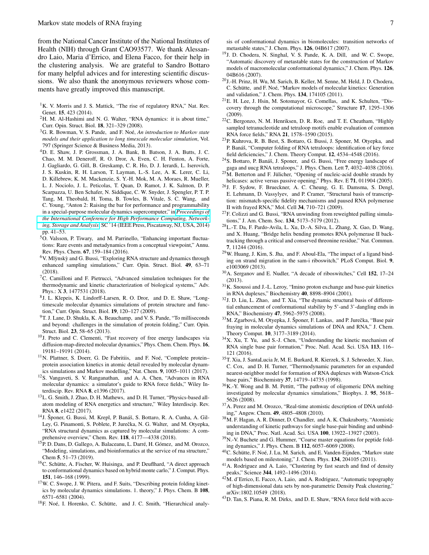from the National Cancer Institute of the National Institutes of Health (NIH) through Grant CAO93577. We thank Alessandro Laio, Maria d'Errico, and Elena Facco, for their help in the clustering analysis. We are grateful to Sandro Bottaro for many helpful advices and for interesting scientific discussions. We also thank the anonymous reviewers whose comments have greatly improved this manuscript.

- <span id="page-6-0"></span><sup>1</sup>K. V. Morris and J. S. Mattick, "The rise of regulatory RNA," Nat. Rev. Genet. 15, 423 (2014).
- <span id="page-6-1"></span><sup>2</sup>H. M. Al-Hashimi and N. G. Walter, "RNA dynamics: it is about time," Curr. Opin. Struct. Biol. 18, 321–329 (2008).
- <span id="page-6-2"></span><sup>3</sup>G. R. Bowman, V. S. Pande, and F. Noé, *An introduction to Markov state models and their application to long timescale molecular simulation*, Vol. 797 (Springer Science & Business Media, 2013).
- <sup>4</sup>D. E. Shaw, J. P. Grossman, J. A. Bank, B. Batson, J. A. Butts, J. C. Chao, M. M. Deneroff, R. O. Dror, A. Even, C. H. Fenton, A. Forte, J. Gagliardo, G. Gill, B. Greskamp, C. R. Ho, D. J. Ierardi, L. Iserovich, J. S. Kuskin, R. H. Larson, T. Layman, L.-S. Lee, A. K. Lerer, C. Li, D. Killebrew, K. M. Mackenzie, S. Y.-H. Mok, M. A. Moraes, R. Mueller, L. J. Nociolo, J. L. Peticolas, T. Quan, D. Ramot, J. K. Salmon, D. P. Scarpazza, U. Ben Schafer, N. Siddique, C. W. Snyder, J. Spengler, P. T. P. Tang, M. Theobald, H. Toma, B. Towles, B. Vitale, S. C. Wang, and C. Young, "Anton 2: Raising the bar for performance and programmability in a special-purpose molecular dynamics supercomputer," in *[Proceedings of](http://dx.doi.org/ 10.1109/SC.2014.9) [the International Conference for High Performance Computing, Network](http://dx.doi.org/ 10.1109/SC.2014.9)[ing, Storage and Analysis](http://dx.doi.org/ 10.1109/SC.2014.9)*, SC '14 (IEEE Press, Piscataway, NJ, USA, 2014) pp. 41–53.
- $5\overline{O}$ . Valsson, P. Tiwary, and M. Parrinello, "Enhancing important fluctuations: Rare events and metadynamics from a conceptual viewpoint," Annu. Rev. Phys. Chem. 67, 159–184 (2016).
- $6V$ . Mlynsky and G. Bussi, "Exploring RNA structure and dynamics through enhanced sampling simulations," Curr. Opin. Struct. Biol. 49, 63–71 (2018).
- <span id="page-6-3"></span> ${}^{7}C$ . Camilloni and F. Pietrucci, "Advanced simulation techniques for the thermodynamic and kinetic characterization of biological systems," Adv. Phys.: X 3, 1477531 (2018).
- <span id="page-6-4"></span>8 J. L. Klepeis, K. Lindorff-Larsen, R. O. Dror, and D. E. Shaw, "Longtimescale molecular dynamics simulations of protein structure and function," Curr. Opin. Struct. Biol. 19, 120–127 (2009).
- <sup>9</sup>T. J. Lane, D. Shukla, K. A. Beauchamp, and V. S. Pande, "To milliseconds and beyond: challenges in the simulation of protein folding," Curr. Opin. Struct. Biol. 23, 58–65 (2013).
- <sup>10</sup>J. Preto and C. Clementi, "Fast recovery of free energy landscapes via diffusion-map-directed molecular dynamics," Phys. Chem. Chem. Phys. 16, 19181–19191 (2014).
- <span id="page-6-5"></span><sup>11</sup>N. Plattner, S. Doerr, G. De Fabritiis, and F. Noé, "Complete proteinprotein association kinetics in atomic detail revealed by molecular dynamics simulations and Markov modelling," Nat. Chem. 9, 1005–1011 (2017).
- <span id="page-6-6"></span><sup>12</sup>S. Vangaveti, S. V. Ranganathan, and A. A. Chen, "Advances in RNA molecular dynamics: a simulator's guide to RNA force fields," Wiley Interdiscip. Rev. RNA 8, e1396 (2017).
- <sup>13</sup>L. G. Smith, J. Zhao, D. H. Mathews, and D. H. Turner, "Physics-based allatom modeling of RNA energetics and structure," Wiley Interdiscip. Rev. RNA 8, e1422 (2017).
- <span id="page-6-11"></span><sup>14</sup>J. Šponer, G. Bussi, M. Krepl, P. Banáš, S. Bottaro, R. A. Cunha, A. Gil-Ley, G. Pinamonti, S. Poblete, P. Jurečka, N. G. Walter, and M. Otyepka, "RNA structural dynamics as captured by molecular simulations: A comprehensive overview," Chem. Rev. 118, 4177––4338 (2018).
- <span id="page-6-7"></span><sup>15</sup>P. D. Dans, D. Gallego, A. Balaceanu, L. Darré, H. Gómez, and M. Orozco, "Modeling, simulations, and bioinformatics at the service of rna structure," Chem 5, 51–73 (2019).
- <span id="page-6-8"></span> ${}^{16}$ C. Schütte, A. Fischer, W. Huisinga, and P. Deuflhard, "A direct approach to conformational dynamics based on hybrid monte carlo," J. Comput. Phys. 151, 146–168 (1999).
- <span id="page-6-31"></span><sup>17</sup>W. C. Swope, J. W. Pitera, and F. Suits, "Describing protein folding kinetics by molecular dynamics simulations. 1. theory," J. Phys. Chem. B 108, 6571–6581 (2004).
- <sup>18</sup>F. Noé, I. Horenko, C. Schütte, and J. C. Smith, "Hierarchical analy-

sis of conformational dynamics in biomolecules: transition networks of metastable states," J. Chem. Phys. 126, 04B617 (2007).

- <sup>19</sup>J. D. Chodera, N. Singhal, V. S. Pande, K. A. Dill, and W. C. Swope, "Automatic discovery of metastable states for the construction of Markov models of macromolecular conformational dynamics," J. Chem. Phys. 126, 04B616 (2007).
- <span id="page-6-9"></span><sup>20</sup>J.-H. Prinz, H. Wu, M. Sarich, B. Keller, M. Senne, M. Held, J. D. Chodera, C. Schütte, and F. Noé, "Markov models of molecular kinetics: Generation and validation," J. Chem. Phys. 134, 174105 (2011).
- <span id="page-6-10"></span><sup>21</sup>E. H. Lee, J. Hsin, M. Sotomayor, G. Comellas, and K. Schulten, "Discovery through the computational microscope," Structure 17, 1295–1306 (2009).
- <span id="page-6-12"></span> $22^2$ C. Bergonzo, N. M. Henriksen, D. R. Roe, and T. E. Cheatham, "Highly sampled tetranucleotide and tetraloop motifs enable evaluation of common RNA force fields," RNA 21, 1578–1590 (2015).
- <sup>23</sup>P. Kuhrova, R. B. Best, S. Bottaro, G. Bussi, J. Sponer, M. Otyepka, and P. Banáš, "Computer folding of RNA tetraloops: identification of key force field deficiencies," J. Chem. Theory Comput. 12, 4534–4548 (2016).
- <span id="page-6-13"></span><sup>24</sup>S. Bottaro, P. Banáš, J. Sponer, and G. Bussi, "Free energy landscape of gaga and uucg RNA tetraloops," J. Phys. Chem. Lett 7, 4032–4038 (2016).
- <span id="page-6-14"></span><sup>25</sup>M. Betterton and F. Jülicher, "Opening of nucleic-acid double strands by helicases: active versus passive opening," Phys. Rev. E 71, 011904 (2005).
- <sup>26</sup>J. F. Sydow, F. Brueckner, A. C. Cheung, G. E. Damsma, S. Dengl, E. Lehmann, D. Vassylyev, and P. Cramer, "Structural basis of transcription: mismatch-specific fidelity mechanisms and paused RNA polymerase II with frayed RNA," Mol. Cell 34, 710–721 (2009).
- <span id="page-6-20"></span> $27$ F. Colizzi and G. Bussi, "RNA unwinding from reweighted pulling simulations," J. Am. Chem. Soc. 134, 5173–5179 (2012).
- <span id="page-6-15"></span><sup>28</sup>L.-T. Da, F. Pardo-Avila, L. Xu, D.-A. Silva, L. Zhang, X. Gao, D. Wang, and X. Huang, "Bridge helix bending promotes RNA polymerase II backtracking through a critical and conserved threonine residue," Nat. Commun. 7, 11244 (2016).
- <span id="page-6-16"></span><sup>29</sup>W. Huang, J. Kim, S. Jha, and F. Aboul-Ela, "The impact of a ligand binding on strand migration in the sam-i riboswitch," PLoS Comput. Biol. 9, e1003069 (2013).
- <span id="page-6-17"></span><sup>30</sup>A. Serganov and E. Nudler, "A decade of riboswitches," Cell **152**, 17-24 (2013).
- <span id="page-6-18"></span><sup>31</sup>K. Snoussi and J.-L. Leroy, "Imino proton exchange and base-pair kinetics in RNA duplexes," Biochemistry 40, 8898–8904 (2001).
- <span id="page-6-19"></span><sup>32</sup>J. D. Liu, L. Zhao, and T. Xia, "The dynamic structural basis of differential enhancement of conformational stability by 5'-and 3'-dangling ends in RNA," Biochemistry 47, 5962–5975 (2008).
- <span id="page-6-21"></span>33M. Zgarbová, M. Otyepka, J. Šponer, F. Lankas, and P. Jurečka, "Base pair fraying in molecular dynamics simulations of DNA and RNA," J. Chem. Theory Comput. 10, 3177–3189 (2014).
- <span id="page-6-22"></span><sup>34</sup>X. Xu, T. Yu, and S.-J. Chen, "Understanding the kinetic mechanism of RNA single base pair formation," Proc. Natl. Acad. Sci. USA 113, 116– 121 (2016).
- <span id="page-6-23"></span><sup>35</sup>T. Xia, J. SantaLucia Jr, M. E. Burkard, R. Kierzek, S. J. Schroeder, X. Jiao, C. Cox, and D. H. Turner, "Thermodynamic parameters for an expanded nearest-neighbor model for formation of RNA duplexes with Watson-Crick base pairs," Biochemistry 37, 14719–14735 (1998).
- <span id="page-6-24"></span><sup>36</sup>K.-Y. Wong and B. M. Pettitt, "The pathway of oligomeric DNA melting investigated by molecular dynamics simulations," Biophys. J. 95, 5618– 5626 (2008).
- <sup>37</sup>A. Perez and M. Orozco, "Real-time atomistic description of DNA unfolding," Angew. Chem. 49, 4805–4808 (2010).
- <span id="page-6-25"></span><sup>38</sup>M. F. Hagan, A. R. Dinner, D. Chandler, and A. K. Chakraborty, "Atomistic understanding of kinetic pathways for single base-pair binding and unbinding in DNA," Proc. Natl. Acad. Sci. USA 100, 13922–13927 (2003).
- <span id="page-6-26"></span><sup>39</sup>N.-V. Buchete and G. Hummer, "Coarse master equations for peptide folding dynamics," J. Phys. Chem. B 112, 6057–6069 (2008).
- <span id="page-6-27"></span><sup>40</sup>C. Schütte, F. Noé, J. Lu, M. Sarich, and E. Vanden-Eijnden, "Markov state models based on milestoning," J. Chem. Phys. 134, 204105 (2011).
- <span id="page-6-28"></span><sup>41</sup>A. Rodriguez and A. Laio, "Clustering by fast search and find of density peaks," Science 344, 1492–1496 (2014).
- <span id="page-6-29"></span><sup>42</sup>M. d'Errico, E. Facco, A. Laio, and A. Rodriguez, "Automatic topography of high-dimensional data sets by non-parametric Density Peak clustering," arXiv:1802.10549 (2018).
- <span id="page-6-30"></span><sup>43</sup>D. Tan, S. Piana, R. M. Dirks, and D. E. Shaw, "RNA force field with accu-